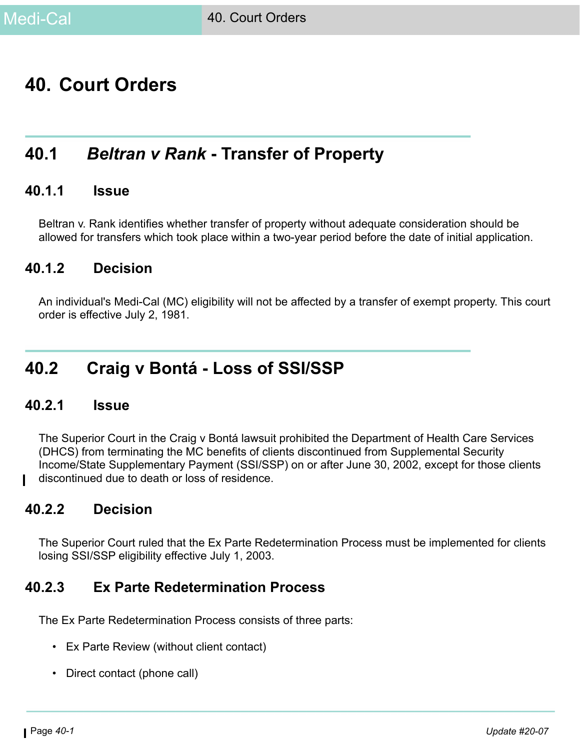# **40. Court Orders**

# **40.1** *Beltran v Rank* **- Transfer of Property**

### **40.1.1 Issue**

Beltran v. Rank identifies whether transfer of property without adequate consideration should be allowed for transfers which took place within a two-year period before the date of initial application.

### **40.1.2 Decision**

An individual's Medi-Cal (MC) eligibility will not be affected by a transfer of exempt property. This court order is effective July 2, 1981.

# **40.2 Craig v Bontá - Loss of SSI/SSP**

### **40.2.1 Issue**

The Superior Court in the Craig v Bontá lawsuit prohibited the Department of Health Care Services (DHCS) from terminating the MC benefits of clients discontinued from Supplemental Security Income/State Supplementary Payment (SSI/SSP) on or after June 30, 2002, except for those clients discontinued due to death or loss of residence.

### **40.2.2 Decision**

The Superior Court ruled that the Ex Parte Redetermination Process must be implemented for clients losing SSI/SSP eligibility effective July 1, 2003.

### <span id="page-0-0"></span>**40.2.3 Ex Parte Redetermination Process**

The Ex Parte Redetermination Process consists of three parts:

- Ex Parte Review (without client contact)
- Direct contact (phone call)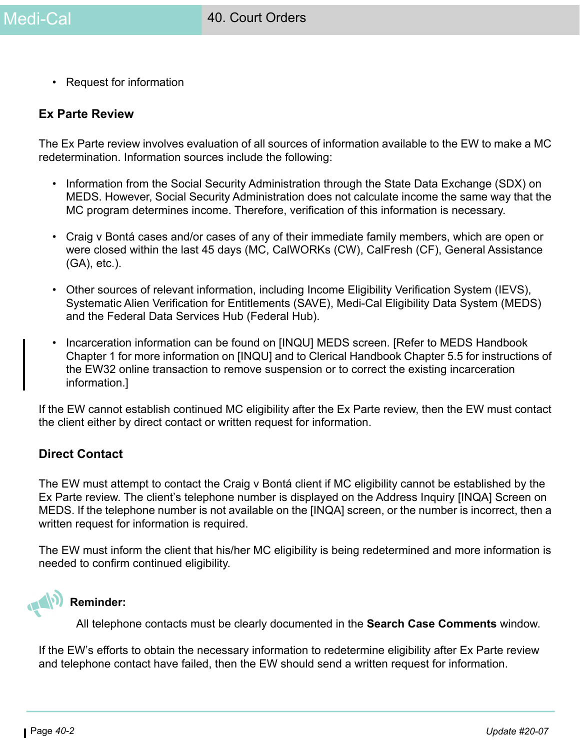• Request for information

#### **Ex Parte Review**

The Ex Parte review involves evaluation of all sources of information available to the EW to make a MC redetermination. Information sources include the following:

- Information from the Social Security Administration through the State Data Exchange (SDX) on MEDS. However, Social Security Administration does not calculate income the same way that the MC program determines income. Therefore, verification of this information is necessary.
- Craig v Bontá cases and/or cases of any of their immediate family members, which are open or were closed within the last 45 days (MC, CalWORKs (CW), CalFresh (CF), General Assistance (GA), etc.).
- Other sources of relevant information, including Income Eligibility Verification System (IEVS), Systematic Alien Verification for Entitlements (SAVE), Medi-Cal Eligibility Data System (MEDS) and the Federal Data Services Hub (Federal Hub).
- Incarceration information can be found on [INQU] MEDS screen. [Refer to MEDS Handbook Chapter 1 for more information on [INQU] and to Clerical Handbook Chapter 5.5 for instructions of the EW32 online transaction to remove suspension or to correct the existing incarceration information.]

If the EW cannot establish continued MC eligibility after the Ex Parte review, then the EW must contact the client either by direct contact or written request for information.

#### **Direct Contact**

The EW must attempt to contact the Craig v Bontá client if MC eligibility cannot be established by the Ex Parte review. The client's telephone number is displayed on the Address Inquiry [INQA] Screen on MEDS. If the telephone number is not available on the [INQA] screen, or the number is incorrect, then a written request for information is required.

The EW must inform the client that his/her MC eligibility is being redetermined and more information is needed to confirm continued eligibility.



### **Reminder:**

All telephone contacts must be clearly documented in the **Search Case Comments** window.

If the EW's efforts to obtain the necessary information to redetermine eligibility after Ex Parte review and telephone contact have failed, then the EW should send a written request for information.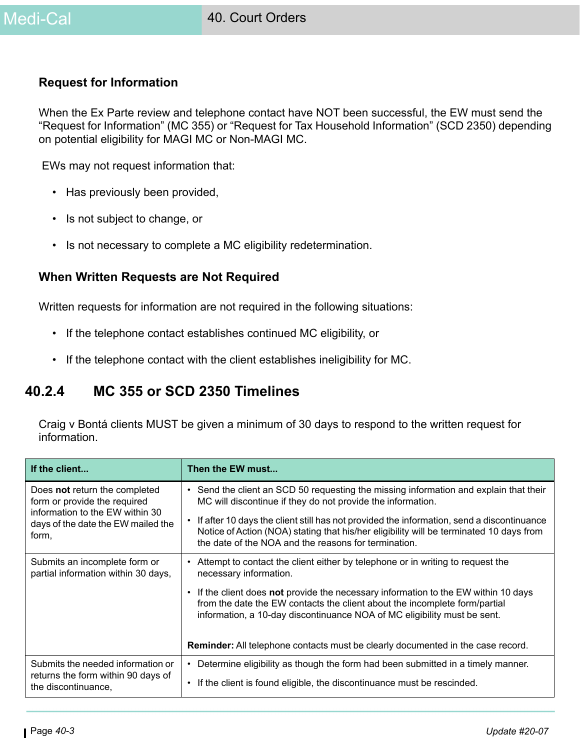#### **Request for Information**

When the Ex Parte review and telephone contact have NOT been successful, the EW must send the "Request for Information" (MC 355) or "Request for Tax Household Information" (SCD 2350) depending on potential eligibility for MAGI MC or Non-MAGI MC.

EWs may not request information that:

- Has previously been provided,
- Is not subject to change, or
- Is not necessary to complete a MC eligibility redetermination.

#### **When Written Requests are Not Required**

Written requests for information are not required in the following situations:

- If the telephone contact establishes continued MC eligibility, or
- If the telephone contact with the client establishes ineligibility for MC.

# **40.2.4 MC 355 or SCD 2350 Timelines**

Craig v Bontá clients MUST be given a minimum of 30 days to respond to the written request for information.

| If the client                                                                                    | Then the EW must                                                                                                                                                                                                                               |
|--------------------------------------------------------------------------------------------------|------------------------------------------------------------------------------------------------------------------------------------------------------------------------------------------------------------------------------------------------|
| Does not return the completed<br>form or provide the required<br>information to the EW within 30 | • Send the client an SCD 50 requesting the missing information and explain that their<br>MC will discontinue if they do not provide the information.                                                                                           |
| days of the date the EW mailed the<br>form,                                                      | • If after 10 days the client still has not provided the information, send a discontinuance<br>Notice of Action (NOA) stating that his/her eligibility will be terminated 10 days from<br>the date of the NOA and the reasons for termination. |
| Submits an incomplete form or<br>partial information within 30 days,                             | • Attempt to contact the client either by telephone or in writing to request the<br>necessary information.                                                                                                                                     |
|                                                                                                  | • If the client does not provide the necessary information to the EW within 10 days<br>from the date the EW contacts the client about the incomplete form/partial<br>information, a 10-day discontinuance NOA of MC eligibility must be sent.  |
|                                                                                                  | <b>Reminder:</b> All telephone contacts must be clearly documented in the case record.                                                                                                                                                         |
| Submits the needed information or<br>returns the form within 90 days of                          | Determine eligibility as though the form had been submitted in a timely manner.<br>$\bullet$<br>If the client is found eligible, the discontinuance must be rescinded.<br>$\bullet$                                                            |
| the discontinuance,                                                                              |                                                                                                                                                                                                                                                |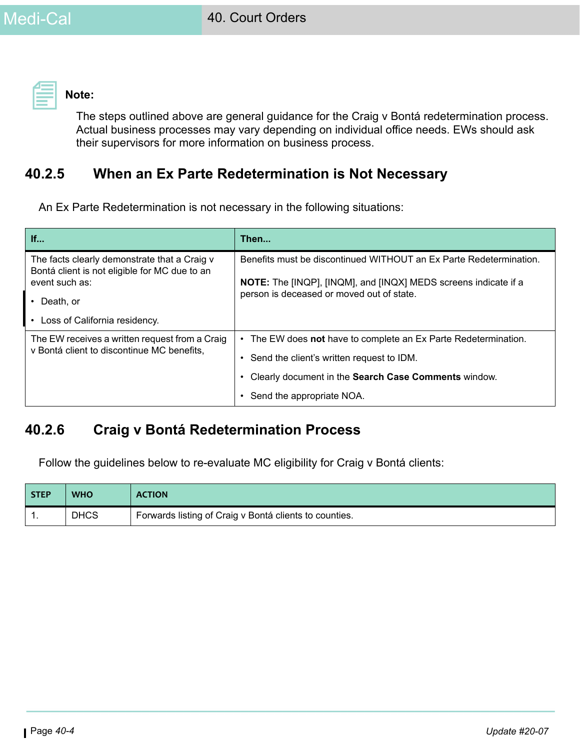**Note:** 

The steps outlined above are general guidance for the Craig v Bontá redetermination process. Actual business processes may vary depending on individual office needs. EWs should ask their supervisors for more information on business process.

# **40.2.5 When an Ex Parte Redetermination is Not Necessary**

An Ex Parte Redetermination is not necessary in the following situations:

| If                                                                                            | Then                                                                                                                |  |
|-----------------------------------------------------------------------------------------------|---------------------------------------------------------------------------------------------------------------------|--|
| The facts clearly demonstrate that a Craig v<br>Bontá client is not eligible for MC due to an | Benefits must be discontinued WITHOUT an Ex Parte Redetermination.                                                  |  |
| event such as:                                                                                | <b>NOTE:</b> The [INQP], [INQM], and [INQX] MEDS screens indicate if a<br>person is deceased or moved out of state. |  |
| $\cdot$ Death, or                                                                             |                                                                                                                     |  |
| • Loss of California residency.                                                               |                                                                                                                     |  |
| The EW receives a written request from a Craig                                                | The EW does not have to complete an Ex Parte Redetermination.<br>$\bullet$                                          |  |
| v Bontá client to discontinue MC benefits,                                                    | • Send the client's written request to IDM.                                                                         |  |
|                                                                                               | Clearly document in the Search Case Comments window.                                                                |  |
|                                                                                               | Send the appropriate NOA.                                                                                           |  |

# **40.2.6 Craig v Bontá Redetermination Process**

Follow the guidelines below to re-evaluate MC eligibility for Craig v Bontá clients:

| <b>STEP</b> | <b>WHO</b>  | <b>ACTION</b>                                          |
|-------------|-------------|--------------------------------------------------------|
| . .         | <b>DHCS</b> | Forwards listing of Craig v Bontá clients to counties. |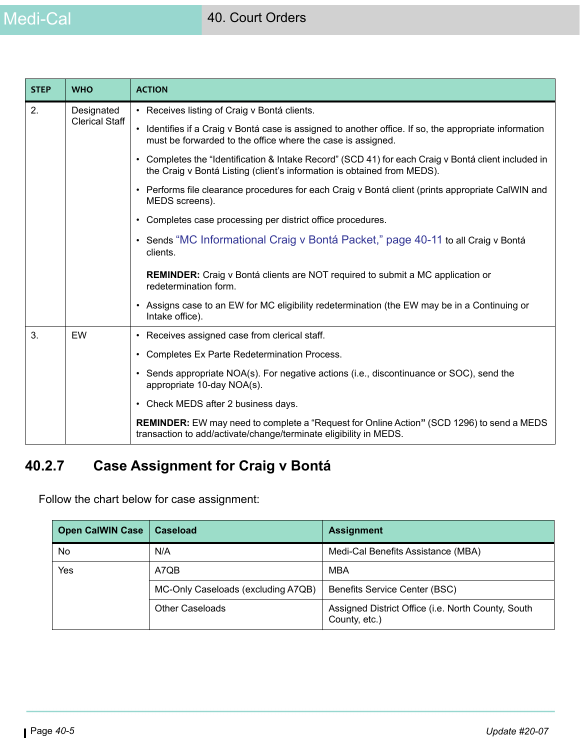# Medi-Cal

| <b>STEP</b> | <b>WHO</b>                                                                                                      | <b>ACTION</b>                                                                                                                                                                  |
|-------------|-----------------------------------------------------------------------------------------------------------------|--------------------------------------------------------------------------------------------------------------------------------------------------------------------------------|
| 2.          | Designated                                                                                                      | • Receives listing of Craig v Bontá clients.                                                                                                                                   |
|             | <b>Clerical Staff</b>                                                                                           | • Identifies if a Craig v Bontá case is assigned to another office. If so, the appropriate information<br>must be forwarded to the office where the case is assigned.          |
|             |                                                                                                                 | • Completes the "Identification & Intake Record" (SCD 41) for each Craig v Bontá client included in<br>the Craig v Bontá Listing (client's information is obtained from MEDS). |
|             |                                                                                                                 | • Performs file clearance procedures for each Craig v Bontá client (prints appropriate CalWIN and<br>MEDS screens).                                                            |
|             |                                                                                                                 | • Completes case processing per district office procedures.                                                                                                                    |
|             |                                                                                                                 | • Sends "MC Informational Craig v Bontá Packet," page 40-11 to all Craig v Bontá<br>clients.                                                                                   |
|             | <b>REMINDER:</b> Craig v Bontá clients are NOT required to submit a MC application or<br>redetermination form.  |                                                                                                                                                                                |
|             | • Assigns case to an EW for MC eligibility redetermination (the EW may be in a Continuing or<br>Intake office). |                                                                                                                                                                                |
| 3.          | EW                                                                                                              | • Receives assigned case from clerical staff.                                                                                                                                  |
|             |                                                                                                                 | Completes Ex Parte Redetermination Process.<br>$\bullet$                                                                                                                       |
|             |                                                                                                                 | • Sends appropriate NOA(s). For negative actions (i.e., discontinuance or SOC), send the<br>appropriate 10-day NOA(s).                                                         |
|             |                                                                                                                 | • Check MEDS after 2 business days.                                                                                                                                            |
|             |                                                                                                                 | <b>REMINDER:</b> EW may need to complete a "Request for Online Action" (SCD 1296) to send a MEDS<br>transaction to add/activate/change/terminate eligibility in MEDS.          |

# **40.2.7 Case Assignment for Craig v Bontá**

Follow the chart below for case assignment:

| <b>Open CalWIN Case</b> | Caseload                           | <b>Assignment</b>                                                   |
|-------------------------|------------------------------------|---------------------------------------------------------------------|
| No                      | N/A                                | Medi-Cal Benefits Assistance (MBA)                                  |
| Yes                     | A7QB                               | MBA                                                                 |
|                         | MC-Only Caseloads (excluding A7QB) | Benefits Service Center (BSC)                                       |
|                         | <b>Other Caseloads</b>             | Assigned District Office (i.e. North County, South<br>County, etc.) |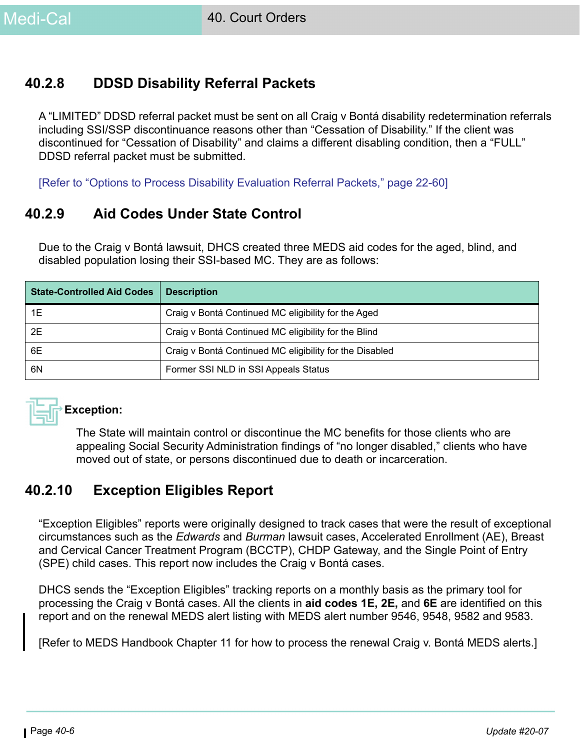# **40.2.8 DDSD Disability Referral Packets**

A "LIMITED" DDSD referral packet must be sent on all Craig v Bontá disability redetermination referrals including SSI/SSP discontinuance reasons other than "Cessation of Disability." If the client was discontinued for "Cessation of Disability" and claims a different disabling condition, then a "FULL" DDSD referral packet must be submitted.

[Refer to "Options to Process Disability Evaluation Referral Packets," page 22-60]

# **40.2.9 Aid Codes Under State Control**

Due to the Craig v Bontá lawsuit, DHCS created three MEDS aid codes for the aged, blind, and disabled population losing their SSI-based MC. They are as follows:

| <b>State-Controlled Aid Codes</b> | <b>Description</b>                                      |
|-----------------------------------|---------------------------------------------------------|
| 1E                                | Craig v Bontá Continued MC eligibility for the Aged     |
| 2E                                | Craig v Bontá Continued MC eligibility for the Blind    |
| 6E                                | Craig v Bontá Continued MC eligibility for the Disabled |
| 6N                                | Former SSI NLD in SSI Appeals Status                    |



The State will maintain control or discontinue the MC benefits for those clients who are appealing Social Security Administration findings of "no longer disabled," clients who have moved out of state, or persons discontinued due to death or incarceration.

# **40.2.10 Exception Eligibles Report**

"Exception Eligibles" reports were originally designed to track cases that were the result of exceptional circumstances such as the *Edwards* and *Burman* lawsuit cases, Accelerated Enrollment (AE), Breast and Cervical Cancer Treatment Program (BCCTP), CHDP Gateway, and the Single Point of Entry (SPE) child cases. This report now includes the Craig v Bontá cases.

DHCS sends the "Exception Eligibles" tracking reports on a monthly basis as the primary tool for processing the Craig v Bontá cases. All the clients in **aid codes 1E, 2E,** and **6E** are identified on this report and on the renewal MEDS alert listing with MEDS alert number 9546, 9548, 9582 and 9583.

[Refer to MEDS Handbook Chapter 11 for how to process the renewal Craig v. Bontá MEDS alerts.]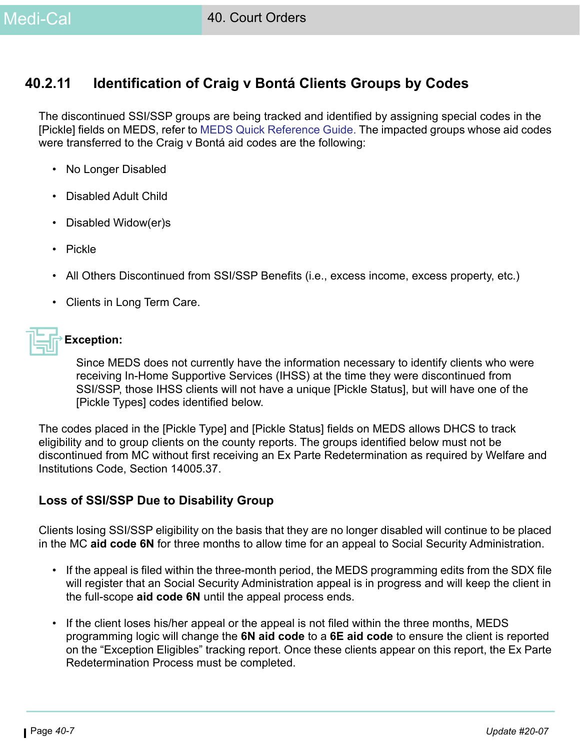# **40.2.11 Identification of Craig v Bontá Clients Groups by Codes**

The discontinued SSI/SSP groups are being tracked and identified by assigning special codes in the [Pickle] fields on MEDS, refer to [MEDS Quick Reference Guide.](https://ssaconnect.sccgov.org/ssa_departments/debs_program/Documents/reference_materials/meds_qrg.pdf) The impacted groups whose aid codes were transferred to the Craig v Bontá aid codes are the following:

- No Longer Disabled
- Disabled Adult Child
- Disabled Widow(er)s
- Pickle
- All Others Discontinued from SSI/SSP Benefits (i.e., excess income, excess property, etc.)
- Clients in Long Term Care.

### **Exception:**

Since MEDS does not currently have the information necessary to identify clients who were receiving In-Home Supportive Services (IHSS) at the time they were discontinued from SSI/SSP, those IHSS clients will not have a unique [Pickle Status], but will have one of the [Pickle Types] codes identified below.

The codes placed in the [Pickle Type] and [Pickle Status] fields on MEDS allows DHCS to track eligibility and to group clients on the county reports. The groups identified below must not be discontinued from MC without first receiving an Ex Parte Redetermination as required by Welfare and Institutions Code, Section 14005.37.

### <span id="page-6-0"></span>**Loss of SSI/SSP Due to Disability Group**

Clients losing SSI/SSP eligibility on the basis that they are no longer disabled will continue to be placed in the MC **aid code 6N** for three months to allow time for an appeal to Social Security Administration.

- If the appeal is filed within the three-month period, the MEDS programming edits from the SDX file will register that an Social Security Administration appeal is in progress and will keep the client in the full-scope **aid code 6N** until the appeal process ends.
- If the client loses his/her appeal or the appeal is not filed within the three months, MEDS programming logic will change the **6N aid code** to a **6E aid code** to ensure the client is reported on the "Exception Eligibles" tracking report. Once these clients appear on this report, the Ex Parte Redetermination Process must be completed.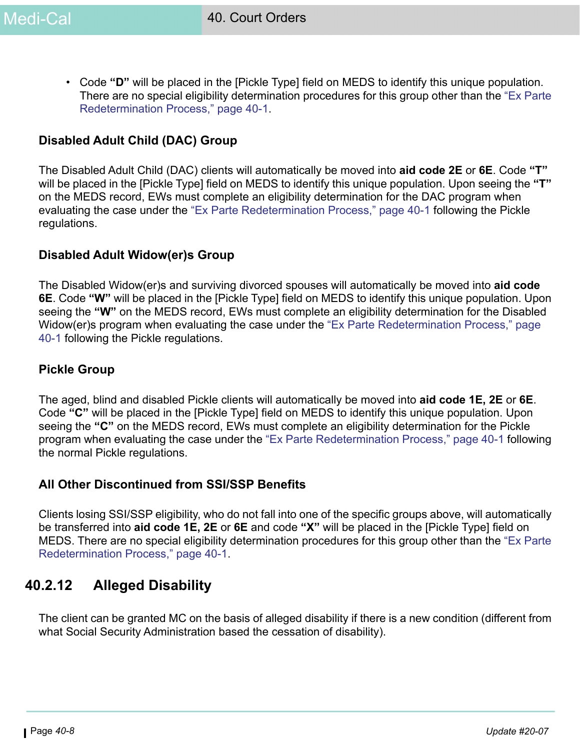• Code **"D"** will be placed in the [Pickle Type] field on MEDS to identify this unique population. There are no special eligibility determination procedures for this group other than the ["Ex Parte](#page-0-0)  [Redetermination Process," page 40-1.](#page-0-0)

### **Disabled Adult Child (DAC) Group**

The Disabled Adult Child (DAC) clients will automatically be moved into **aid code 2E** or **6E**. Code **"T"** will be placed in the [Pickle Type] field on MEDS to identify this unique population. Upon seeing the **"T"** on the MEDS record, EWs must complete an eligibility determination for the DAC program when evaluating the case under the ["Ex Parte Redetermination Process," page 40-1](#page-0-0) following the Pickle regulations.

### **Disabled Adult Widow(er)s Group**

The Disabled Widow(er)s and surviving divorced spouses will automatically be moved into **aid code 6E**. Code **"W"** will be placed in the [Pickle Type] field on MEDS to identify this unique population. Upon seeing the **"W"** on the MEDS record, EWs must complete an eligibility determination for the Disabled Widow(er)s program when evaluating the case under the ["Ex Parte Redetermination Process," page](#page-0-0)  [40-1](#page-0-0) following the Pickle regulations.

#### **Pickle Group**

The aged, blind and disabled Pickle clients will automatically be moved into **aid code 1E, 2E** or **6E**. Code **"C"** will be placed in the [Pickle Type] field on MEDS to identify this unique population. Upon seeing the **"C"** on the MEDS record, EWs must complete an eligibility determination for the Pickle program when evaluating the case under the ["Ex Parte Redetermination Process," page 40-1](#page-0-0) following the normal Pickle regulations.

### **All Other Discontinued from SSI/SSP Benefits**

Clients losing SSI/SSP eligibility, who do not fall into one of the specific groups above, will automatically be transferred into **aid code 1E, 2E** or **6E** and code **"X"** will be placed in the [Pickle Type] field on MEDS. There are no special eligibility determination procedures for this group other than the ["Ex Parte](#page-0-0)  [Redetermination Process," page 40-1](#page-0-0).

# **40.2.12 Alleged Disability**

The client can be granted MC on the basis of alleged disability if there is a new condition (different from what Social Security Administration based the cessation of disability).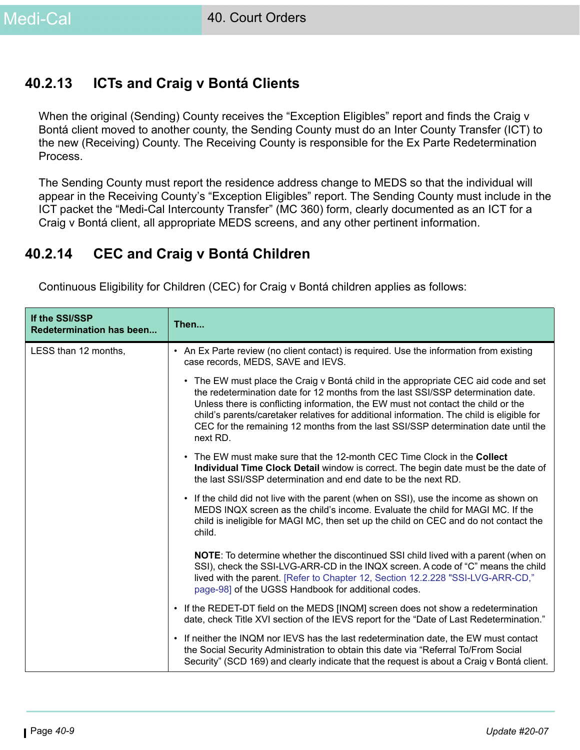# **40.2.13 ICTs and Craig v Bontá Clients**

When the original (Sending) County receives the "Exception Eligibles" report and finds the Craig v Bontá client moved to another county, the Sending County must do an Inter County Transfer (ICT) to the new (Receiving) County. The Receiving County is responsible for the Ex Parte Redetermination Process.

The Sending County must report the residence address change to MEDS so that the individual will appear in the Receiving County's "Exception Eligibles" report. The Sending County must include in the ICT packet the "Medi-Cal Intercounty Transfer" (MC 360) form, clearly documented as an ICT for a Craig v Bontá client, all appropriate MEDS screens, and any other pertinent information.

# **40.2.14 CEC and Craig v Bontá Children**

Continuous Eligibility for Children (CEC) for Craig v Bontá children applies as follows:

| If the SSI/SSP<br><b>Redetermination has been</b> | Then                                                                                                                                                                                                                                                                                                                                                                                                                                                        |
|---------------------------------------------------|-------------------------------------------------------------------------------------------------------------------------------------------------------------------------------------------------------------------------------------------------------------------------------------------------------------------------------------------------------------------------------------------------------------------------------------------------------------|
| LESS than 12 months,                              | • An Ex Parte review (no client contact) is required. Use the information from existing<br>case records, MEDS, SAVE and IEVS.                                                                                                                                                                                                                                                                                                                               |
|                                                   | • The EW must place the Craig v Bontá child in the appropriate CEC aid code and set<br>the redetermination date for 12 months from the last SSI/SSP determination date.<br>Unless there is conflicting information, the EW must not contact the child or the<br>child's parents/caretaker relatives for additional information. The child is eligible for<br>CEC for the remaining 12 months from the last SSI/SSP determination date until the<br>next RD. |
|                                                   | • The EW must make sure that the 12-month CEC Time Clock in the Collect<br>Individual Time Clock Detail window is correct. The begin date must be the date of<br>the last SSI/SSP determination and end date to be the next RD.                                                                                                                                                                                                                             |
|                                                   | • If the child did not live with the parent (when on SSI), use the income as shown on<br>MEDS INQX screen as the child's income. Evaluate the child for MAGI MC. If the<br>child is ineligible for MAGI MC, then set up the child on CEC and do not contact the<br>child.                                                                                                                                                                                   |
|                                                   | <b>NOTE:</b> To determine whether the discontinued SSI child lived with a parent (when on<br>SSI), check the SSI-LVG-ARR-CD in the INQX screen. A code of "C" means the child<br>lived with the parent. [Refer to Chapter 12, Section 12.2.228 "SSI-LVG-ARR-CD,"<br>page-98] of the UGSS Handbook for additional codes.                                                                                                                                     |
|                                                   | • If the REDET-DT field on the MEDS [INQM] screen does not show a redetermination<br>date, check Title XVI section of the IEVS report for the "Date of Last Redetermination."                                                                                                                                                                                                                                                                               |
|                                                   | • If neither the INQM nor IEVS has the last redetermination date, the EW must contact<br>the Social Security Administration to obtain this date via "Referral To/From Social<br>Security" (SCD 169) and clearly indicate that the request is about a Craig v Bontá client.                                                                                                                                                                                  |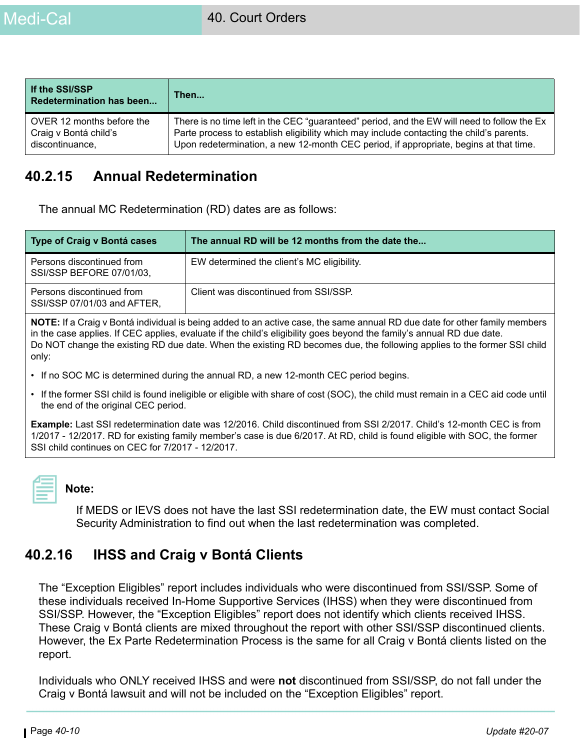| If the SSI/SSP<br><b>Redetermination has been</b> | Then                                                                                        |
|---------------------------------------------------|---------------------------------------------------------------------------------------------|
| OVER 12 months before the                         | There is no time left in the CEC "guaranteed" period, and the EW will need to follow the Ex |
| Craig v Bontá child's                             | Parte process to establish eligibility which may include contacting the child's parents.    |
| discontinuance,                                   | Upon redetermination, a new 12-month CEC period, if appropriate, begins at that time.       |

# **40.2.15 Annual Redetermination**

The annual MC Redetermination (RD) dates are as follows:

| Type of Craig v Bontá cases                              | The annual RD will be 12 months from the date the |  |
|----------------------------------------------------------|---------------------------------------------------|--|
| Persons discontinued from<br>SSI/SSP BEFORE 07/01/03,    | EW determined the client's MC eligibility.        |  |
| Persons discontinued from<br>SSI/SSP 07/01/03 and AFTER, | Client was discontinued from SSI/SSP.             |  |
|                                                          |                                                   |  |

**NOTE:** If a Craig v Bontá individual is being added to an active case, the same annual RD due date for other family members in the case applies. If CEC applies, evaluate if the child's eligibility goes beyond the family's annual RD due date. Do NOT change the existing RD due date. When the existing RD becomes due, the following applies to the former SSI child only:

- If no SOC MC is determined during the annual RD, a new 12-month CEC period begins.
- If the former SSI child is found ineligible or eligible with share of cost (SOC), the child must remain in a CEC aid code until the end of the original CEC period.

**Example:** Last SSI redetermination date was 12/2016. Child discontinued from SSI 2/2017. Child's 12-month CEC is from 1/2017 - 12/2017. RD for existing family member's case is due 6/2017. At RD, child is found eligible with SOC, the former SSI child continues on CEC for 7/2017 - 12/2017.



#### **Note:**

If MEDS or IEVS does not have the last SSI redetermination date, the EW must contact Social Security Administration to find out when the last redetermination was completed.

# **40.2.16 IHSS and Craig v Bontá Clients**

The "Exception Eligibles" report includes individuals who were discontinued from SSI/SSP. Some of these individuals received In-Home Supportive Services (IHSS) when they were discontinued from SSI/SSP. However, the "Exception Eligibles" report does not identify which clients received IHSS. These Craig v Bontá clients are mixed throughout the report with other SSI/SSP discontinued clients. However, the Ex Parte Redetermination Process is the same for all Craig v Bontá clients listed on the report.

Individuals who ONLY received IHSS and were **not** discontinued from SSI/SSP, do not fall under the Craig v Bontá lawsuit and will not be included on the "Exception Eligibles" report.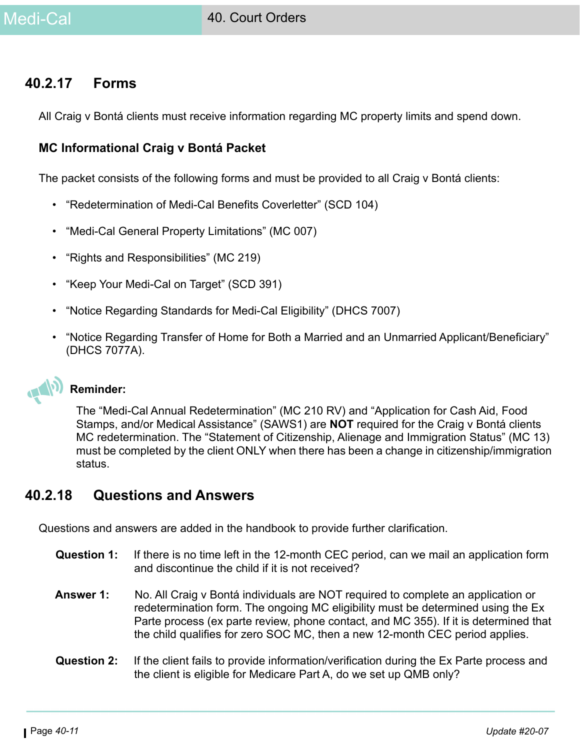### **40.2.17 Forms**

All Craig v Bontá clients must receive information regarding MC property limits and spend down.

### <span id="page-10-0"></span>**MC Informational Craig v Bontá Packet**

The packet consists of the following forms and must be provided to all Craig v Bontá clients:

- "Redetermination of Medi-Cal Benefits Coverletter" (SCD 104)
- "Medi-Cal General Property Limitations" (MC 007)
- "Rights and Responsibilities" (MC 219)
- "Keep Your Medi-Cal on Target" (SCD 391)
- "Notice Regarding Standards for Medi-Cal Eligibility" (DHCS 7007)
- "Notice Regarding Transfer of Home for Both a Married and an Unmarried Applicant/Beneficiary" (DHCS 7077A).

#### **Reminder:**

The "Medi-Cal Annual Redetermination" (MC 210 RV) and "Application for Cash Aid, Food Stamps, and/or Medical Assistance" (SAWS1) are **NOT** required for the Craig v Bontá clients MC redetermination. The "Statement of Citizenship, Alienage and Immigration Status" (MC 13) must be completed by the client ONLY when there has been a change in citizenship/immigration status.

### **40.2.18 Questions and Answers**

Questions and answers are added in the handbook to provide further clarification.

- **Question 1:** If there is no time left in the 12-month CEC period, can we mail an application form and discontinue the child if it is not received?
- **Answer 1:** No. All Craig v Bontá individuals are NOT required to complete an application or redetermination form. The ongoing MC eligibility must be determined using the Ex Parte process (ex parte review, phone contact, and MC 355). If it is determined that the child qualifies for zero SOC MC, then a new 12-month CEC period applies.
- **Question 2:** If the client fails to provide information/verification during the Ex Parte process and the client is eligible for Medicare Part A, do we set up QMB only?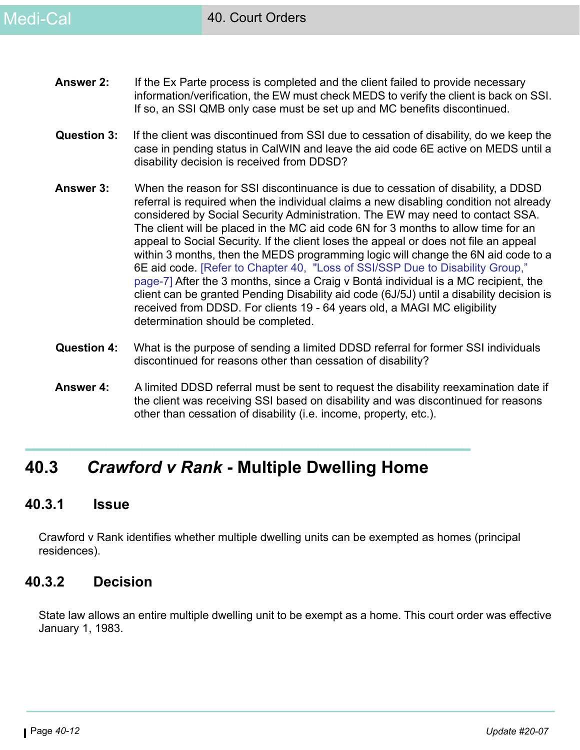- **Answer 2:** If the Ex Parte process is completed and the client failed to provide necessary information/verification, the EW must check MEDS to verify the client is back on SSI. If so, an SSI QMB only case must be set up and MC benefits discontinued.
- **Question 3:** If the client was discontinued from SSI due to cessation of disability, do we keep the case in pending status in CalWIN and leave the aid code 6E active on MEDS until a disability decision is received from DDSD?
- **Answer 3:** When the reason for SSI discontinuance is due to cessation of disability, a DDSD referral is required when the individual claims a new disabling condition not already considered by Social Security Administration. The EW may need to contact SSA. The client will be placed in the MC aid code 6N for 3 months to allow time for an appeal to Social Security. If the client loses the appeal or does not file an appeal within 3 months, then the MEDS programming logic will change the 6N aid code to a 6E aid code. [\[Refer to Chapter 40, "Loss of SSI/SSP Due to Disability Group,"](#page-6-0)  [page-7\]](#page-6-0) After the 3 months, since a Craig v Bontá individual is a MC recipient, the client can be granted Pending Disability aid code (6J/5J) until a disability decision is received from DDSD. For clients 19 - 64 years old, a MAGI MC eligibility determination should be completed.
- **Question 4:** What is the purpose of sending a limited DDSD referral for former SSI individuals discontinued for reasons other than cessation of disability?
- **Answer 4:** A limited DDSD referral must be sent to request the disability reexamination date if the client was receiving SSI based on disability and was discontinued for reasons other than cessation of disability (i.e. income, property, etc.).

# **40.3** *Crawford v Rank* **- Multiple Dwelling Home**

### **40.3.1 Issue**

Crawford v Rank identifies whether multiple dwelling units can be exempted as homes (principal residences).

# **40.3.2 Decision**

State law allows an entire multiple dwelling unit to be exempt as a home. This court order was effective January 1, 1983.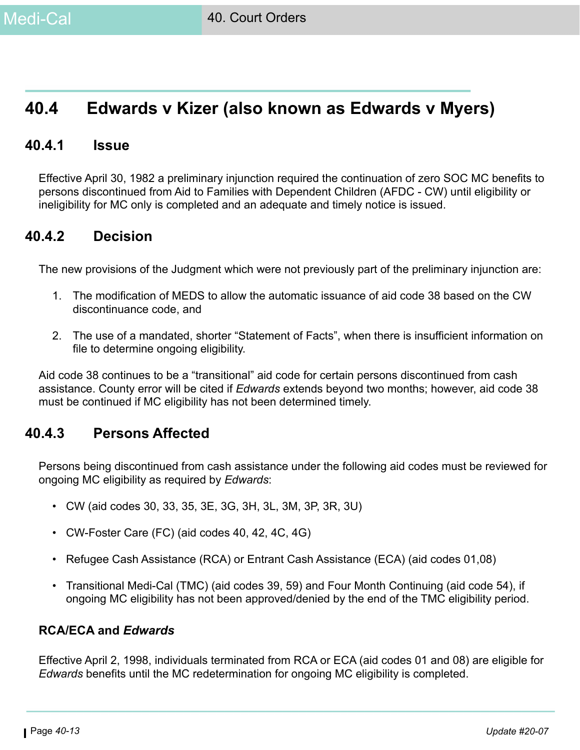# **40.4 Edwards v Kizer (also known as Edwards v Myers)**

### **40.4.1 Issue**

Effective April 30, 1982 a preliminary injunction required the continuation of zero SOC MC benefits to persons discontinued from Aid to Families with Dependent Children (AFDC - CW) until eligibility or ineligibility for MC only is completed and an adequate and timely notice is issued.

### **40.4.2 Decision**

The new provisions of the Judgment which were not previously part of the preliminary injunction are:

- 1. The modification of MEDS to allow the automatic issuance of aid code 38 based on the CW discontinuance code, and
- 2. The use of a mandated, shorter "Statement of Facts", when there is insufficient information on file to determine ongoing eligibility.

Aid code 38 continues to be a "transitional" aid code for certain persons discontinued from cash assistance. County error will be cited if *Edwards* extends beyond two months; however, aid code 38 must be continued if MC eligibility has not been determined timely.

### **40.4.3 Persons Affected**

Persons being discontinued from cash assistance under the following aid codes must be reviewed for ongoing MC eligibility as required by *Edwards*:

- CW (aid codes 30, 33, 35, 3E, 3G, 3H, 3L, 3M, 3P, 3R, 3U)
- CW-Foster Care (FC) (aid codes 40, 42, 4C, 4G)
- Refugee Cash Assistance (RCA) or Entrant Cash Assistance (ECA) (aid codes 01,08)
- Transitional Medi-Cal (TMC) (aid codes 39, 59) and Four Month Continuing (aid code 54), if ongoing MC eligibility has not been approved/denied by the end of the TMC eligibility period.

#### **RCA/ECA and** *Edwards*

Effective April 2, 1998, individuals terminated from RCA or ECA (aid codes 01 and 08) are eligible for *Edwards* benefits until the MC redetermination for ongoing MC eligibility is completed.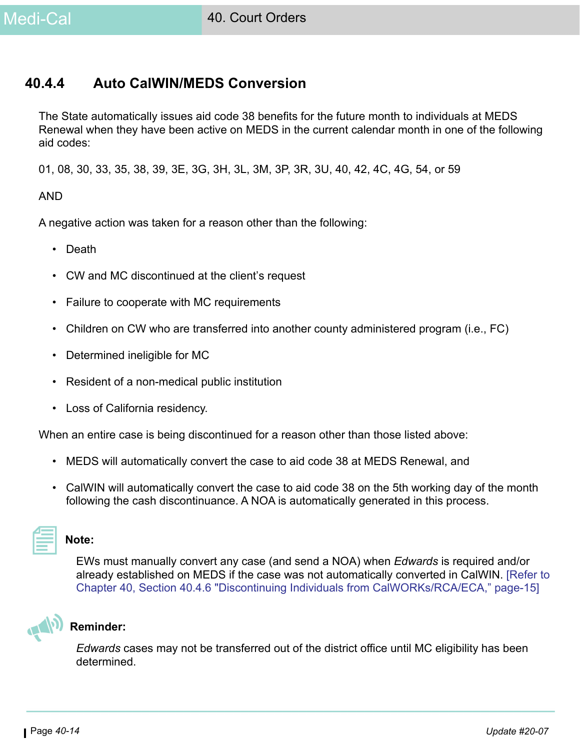# **40.4.4 Auto CalWIN/MEDS Conversion**

The State automatically issues aid code 38 benefits for the future month to individuals at MEDS Renewal when they have been active on MEDS in the current calendar month in one of the following aid codes:

01, 08, 30, 33, 35, 38, 39, 3E, 3G, 3H, 3L, 3M, 3P, 3R, 3U, 40, 42, 4C, 4G, 54, or 59

#### AND

A negative action was taken for a reason other than the following:

- Death
- CW and MC discontinued at the client's request
- Failure to cooperate with MC requirements
- Children on CW who are transferred into another county administered program (i.e., FC)
- Determined ineligible for MC
- Resident of a non-medical public institution
- Loss of California residency.

When an entire case is being discontinued for a reason other than those listed above:

- MEDS will automatically convert the case to aid code 38 at MEDS Renewal, and
- CalWIN will automatically convert the case to aid code 38 on the 5th working day of the month following the cash discontinuance. A NOA is automatically generated in this process.

#### **Note:**

EWs must manually convert any case (and send a NOA) when *Edwards* is required and/or already established on MEDS if the case was not automatically converted in CalWIN. [\[Refer to](#page-14-0)  [Chapter 40, Section 40.4.6 "Discontinuing Individuals from CalWORKs/RCA/ECA," page-15\]](#page-14-0)



### **Reminder:**

*Edwards* cases may not be transferred out of the district office until MC eligibility has been determined.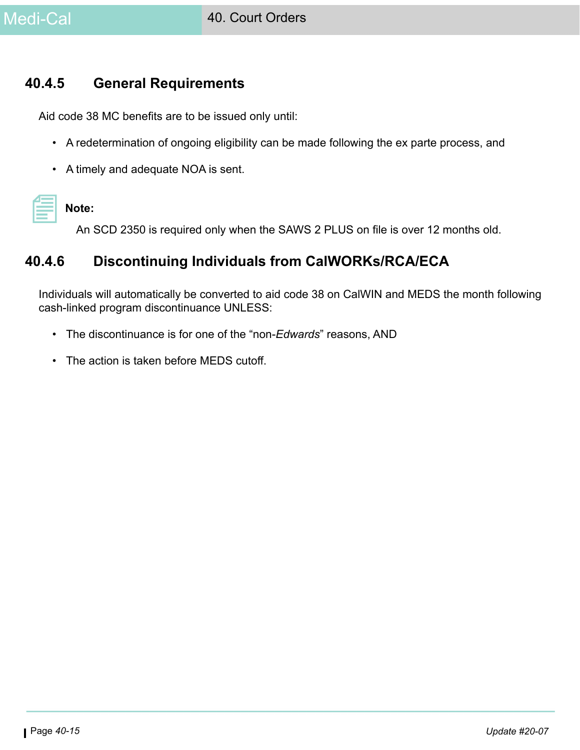

### **40.4.5 General Requirements**

Aid code 38 MC benefits are to be issued only until:

- A redetermination of ongoing eligibility can be made following the ex parte process, and
- A timely and adequate NOA is sent.

# **Note:**

An SCD 2350 is required only when the SAWS 2 PLUS on file is over 12 months old.

# <span id="page-14-0"></span>**40.4.6 Discontinuing Individuals from CalWORKs/RCA/ECA**

Individuals will automatically be converted to aid code 38 on CalWIN and MEDS the month following cash-linked program discontinuance UNLESS:

- The discontinuance is for one of the "non-*Edwards*" reasons, AND
- The action is taken before MEDS cutoff.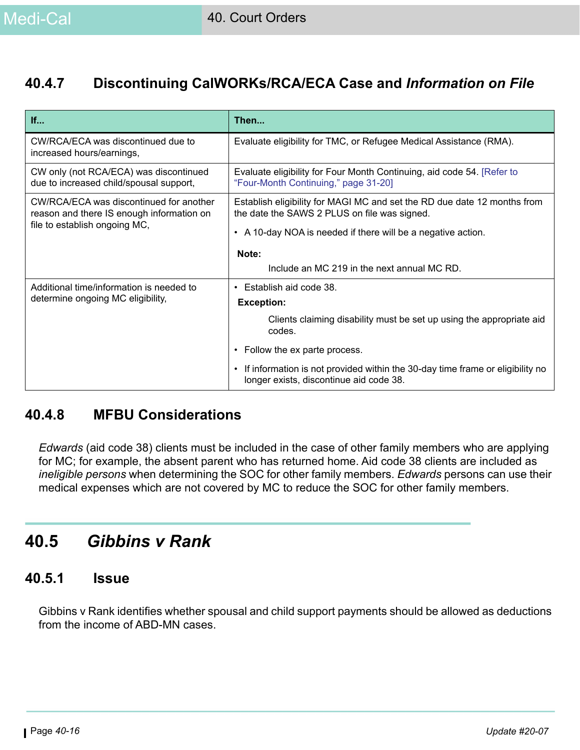# **40.4.7 Discontinuing CalWORKs/RCA/ECA Case and** *Information on File*

| If                                                                                   | Then                                                                                                                     |
|--------------------------------------------------------------------------------------|--------------------------------------------------------------------------------------------------------------------------|
| CW/RCA/ECA was discontinued due to<br>increased hours/earnings,                      | Evaluate eligibility for TMC, or Refugee Medical Assistance (RMA).                                                       |
| CW only (not RCA/ECA) was discontinued<br>due to increased child/spousal support,    | Evaluate eligibility for Four Month Continuing, aid code 54. [Refer to<br>"Four-Month Continuing," page 31-20]           |
| CW/RCA/ECA was discontinued for another<br>reason and there IS enough information on | Establish eligibility for MAGI MC and set the RD due date 12 months from<br>the date the SAWS 2 PLUS on file was signed. |
| file to establish ongoing MC,                                                        | • A 10-day NOA is needed if there will be a negative action.                                                             |
|                                                                                      | Note:                                                                                                                    |
|                                                                                      | Include an MC 219 in the next annual MC RD.                                                                              |
| Additional time/information is needed to                                             | Establish aid code 38.                                                                                                   |
| determine ongoing MC eligibility,                                                    | <b>Exception:</b>                                                                                                        |
|                                                                                      | Clients claiming disability must be set up using the appropriate aid<br>codes.                                           |
|                                                                                      | Follow the ex parte process.                                                                                             |
|                                                                                      | If information is not provided within the 30-day time frame or eligibility no<br>longer exists, discontinue aid code 38. |

# **40.4.8 MFBU Considerations**

*Edwards* (aid code 38) clients must be included in the case of other family members who are applying for MC; for example, the absent parent who has returned home. Aid code 38 clients are included as *ineligible persons* when determining the SOC for other family members. *Edwards* persons can use their medical expenses which are not covered by MC to reduce the SOC for other family members.

# **40.5** *Gibbins v Rank*

### **40.5.1 Issue**

Gibbins v Rank identifies whether spousal and child support payments should be allowed as deductions from the income of ABD-MN cases.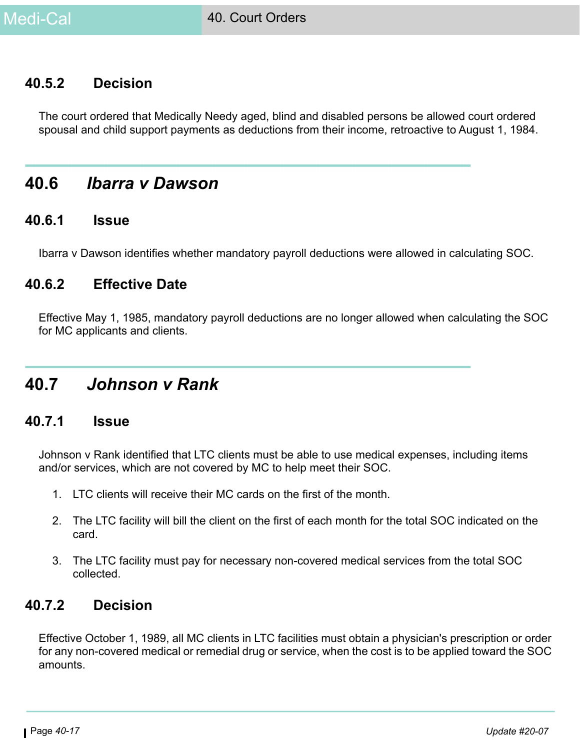# **40.5.2 Decision**

The court ordered that Medically Needy aged, blind and disabled persons be allowed court ordered spousal and child support payments as deductions from their income, retroactive to August 1, 1984.

# **40.6** *Ibarra v Dawson*

#### **40.6.1 Issue**

Ibarra v Dawson identifies whether mandatory payroll deductions were allowed in calculating SOC.

### **40.6.2 Effective Date**

Effective May 1, 1985, mandatory payroll deductions are no longer allowed when calculating the SOC for MC applicants and clients.

# **40.7** *Johnson v Rank*

### **40.7.1 Issue**

Johnson v Rank identified that LTC clients must be able to use medical expenses, including items and/or services, which are not covered by MC to help meet their SOC.

- 1. LTC clients will receive their MC cards on the first of the month.
- 2. The LTC facility will bill the client on the first of each month for the total SOC indicated on the card.
- 3. The LTC facility must pay for necessary non-covered medical services from the total SOC collected.

### **40.7.2 Decision**

Effective October 1, 1989, all MC clients in LTC facilities must obtain a physician's prescription or order for any non-covered medical or remedial drug or service, when the cost is to be applied toward the SOC amounts.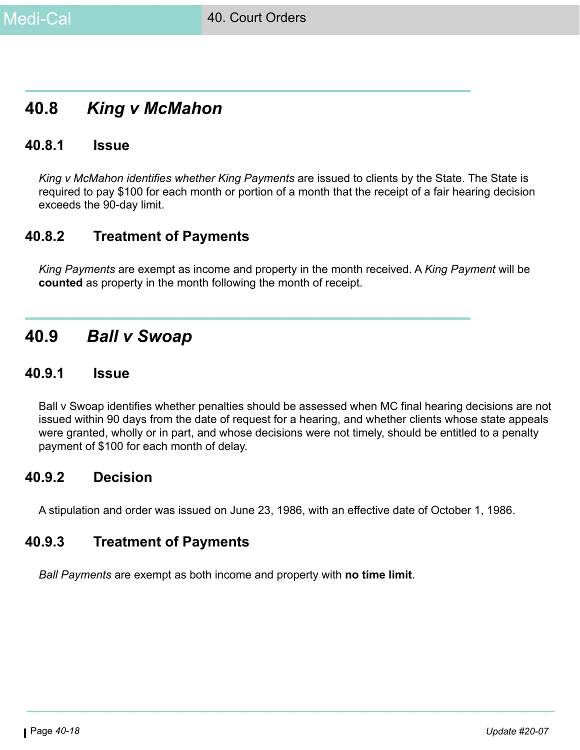# **40.8** *King v McMahon*

### **40.8.1 Issue**

*King v McMahon identifies whether King Payments* are issued to clients by the State. The State is required to pay \$100 for each month or portion of a month that the receipt of a fair hearing decision exceeds the 90-day limit.

# **40.8.2 Treatment of Payments**

*King Payments* are exempt as income and property in the month received. A *King Payment* will be **counted** as property in the month following the month of receipt.

# **40.9** *Ball v Swoap*

### **40.9.1 Issue**

Ball v Swoap identifies whether penalties should be assessed when MC final hearing decisions are not issued within 90 days from the date of request for a hearing, and whether clients whose state appeals were granted, wholly or in part, and whose decisions were not timely, should be entitled to a penalty payment of \$100 for each month of delay.

# **40.9.2 Decision**

A stipulation and order was issued on June 23, 1986, with an effective date of October 1, 1986.

# **40.9.3 Treatment of Payments**

*Ball Payments* are exempt as both income and property with **no time limit**.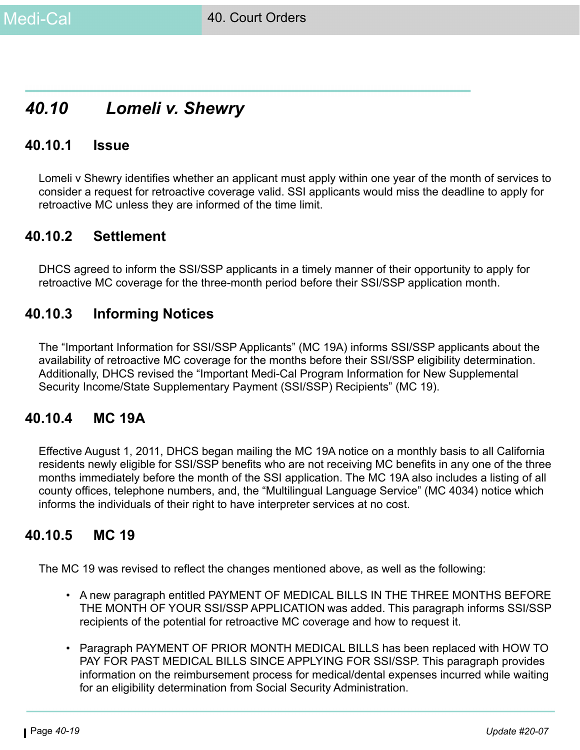# *40.10 Lomeli v. Shewry*

### **40.10.1 Issue**

Lomeli v Shewry identifies whether an applicant must apply within one year of the month of services to consider a request for retroactive coverage valid. SSI applicants would miss the deadline to apply for retroactive MC unless they are informed of the time limit.

### **40.10.2 Settlement**

DHCS agreed to inform the SSI/SSP applicants in a timely manner of their opportunity to apply for retroactive MC coverage for the three-month period before their SSI/SSP application month.

# **40.10.3 Informing Notices**

The "Important Information for SSI/SSP Applicants" (MC 19A) informs SSI/SSP applicants about the availability of retroactive MC coverage for the months before their SSI/SSP eligibility determination. Additionally, DHCS revised the "Important Medi-Cal Program Information for New Supplemental Security Income/State Supplementary Payment (SSI/SSP) Recipients" (MC 19).

### **40.10.4 MC 19A**

Effective August 1, 2011, DHCS began mailing the MC 19A notice on a monthly basis to all California residents newly eligible for SSI/SSP benefits who are not receiving MC benefits in any one of the three months immediately before the month of the SSI application. The MC 19A also includes a listing of all county offices, telephone numbers, and, the "Multilingual Language Service" (MC 4034) notice which informs the individuals of their right to have interpreter services at no cost.

# **40.10.5 MC 19**

The MC 19 was revised to reflect the changes mentioned above, as well as the following:

- A new paragraph entitled PAYMENT OF MEDICAL BILLS IN THE THREE MONTHS BEFORE THE MONTH OF YOUR SSI/SSP APPLICATION was added. This paragraph informs SSI/SSP recipients of the potential for retroactive MC coverage and how to request it.
- Paragraph PAYMENT OF PRIOR MONTH MEDICAL BILLS has been replaced with HOW TO PAY FOR PAST MEDICAL BILLS SINCE APPLYING FOR SSI/SSP. This paragraph provides information on the reimbursement process for medical/dental expenses incurred while waiting for an eligibility determination from Social Security Administration.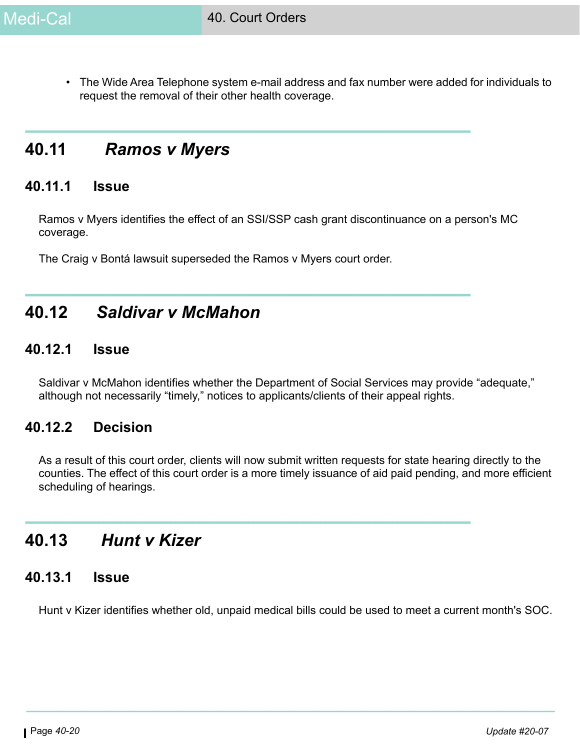• The Wide Area Telephone system e-mail address and fax number were added for individuals to request the removal of their other health coverage.

# **40.11** *Ramos v Myers*

### **40.11.1 Issue**

Ramos v Myers identifies the effect of an SSI/SSP cash grant discontinuance on a person's MC coverage.

The Craig v Bontá lawsuit superseded the Ramos v Myers court order.

# **40.12** *Saldivar v McMahon*

### **40.12.1 Issue**

Saldivar v McMahon identifies whether the Department of Social Services may provide "adequate," although not necessarily "timely," notices to applicants/clients of their appeal rights.

# **40.12.2 Decision**

As a result of this court order, clients will now submit written requests for state hearing directly to the counties. The effect of this court order is a more timely issuance of aid paid pending, and more efficient scheduling of hearings.

# **40.13** *Hunt v Kizer*

### **40.13.1 Issue**

Hunt v Kizer identifies whether old, unpaid medical bills could be used to meet a current month's SOC.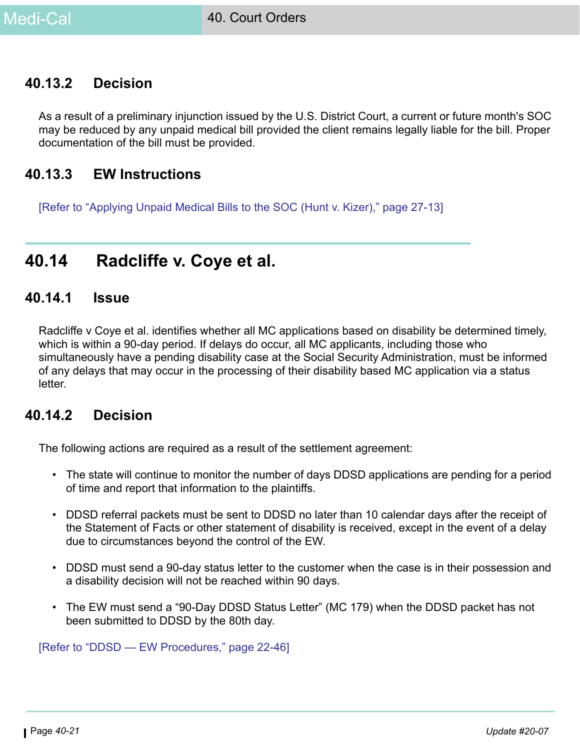# **40.13.2 Decision**

As a result of a preliminary injunction issued by the U.S. District Court, a current or future month's SOC may be reduced by any unpaid medical bill provided the client remains legally liable for the bill. Proper documentation of the bill must be provided.

### **40.13.3 EW Instructions**

[Refer to "Applying Unpaid Medical Bills to the SOC (Hunt v. Kizer)," page 27-13]

# **40.14 Radcliffe v. Coye et al.**

#### **40.14.1 Issue**

Radcliffe v Coye et al. identifies whether all MC applications based on disability be determined timely, which is within a 90-day period. If delays do occur, all MC applicants, including those who simultaneously have a pending disability case at the Social Security Administration, must be informed of any delays that may occur in the processing of their disability based MC application via a status letter.

### **40.14.2 Decision**

The following actions are required as a result of the settlement agreement:

- The state will continue to monitor the number of days DDSD applications are pending for a period of time and report that information to the plaintiffs.
- DDSD referral packets must be sent to DDSD no later than 10 calendar days after the receipt of the Statement of Facts or other statement of disability is received, except in the event of a delay due to circumstances beyond the control of the EW.
- DDSD must send a 90-day status letter to the customer when the case is in their possession and a disability decision will not be reached within 90 days.
- The EW must send a "90-Day DDSD Status Letter" (MC 179) when the DDSD packet has not been submitted to DDSD by the 80th day.

[Refer to "DDSD — EW Procedures," page 22-46]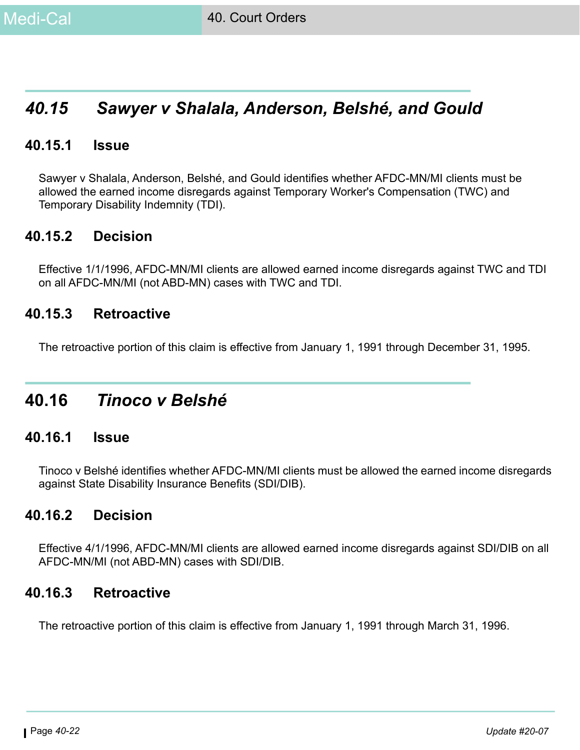# *40.15 Sawyer v Shalala, Anderson, Belshé, and Gould*

### **40.15.1 Issue**

Sawyer v Shalala, Anderson, Belshé, and Gould identifies whether AFDC-MN/MI clients must be allowed the earned income disregards against Temporary Worker's Compensation (TWC) and Temporary Disability Indemnity (TDI).

### **40.15.2 Decision**

Effective 1/1/1996, AFDC-MN/MI clients are allowed earned income disregards against TWC and TDI on all AFDC-MN/MI (not ABD-MN) cases with TWC and TDI.

### **40.15.3 Retroactive**

The retroactive portion of this claim is effective from January 1, 1991 through December 31, 1995.

# **40.16** *Tinoco v Belshé*

### **40.16.1 Issue**

Tinoco v Belshé identifies whether AFDC-MN/MI clients must be allowed the earned income disregards against State Disability Insurance Benefits (SDI/DIB).

### **40.16.2 Decision**

Effective 4/1/1996, AFDC-MN/MI clients are allowed earned income disregards against SDI/DIB on all AFDC-MN/MI (not ABD-MN) cases with SDI/DIB.

### **40.16.3 Retroactive**

The retroactive portion of this claim is effective from January 1, 1991 through March 31, 1996.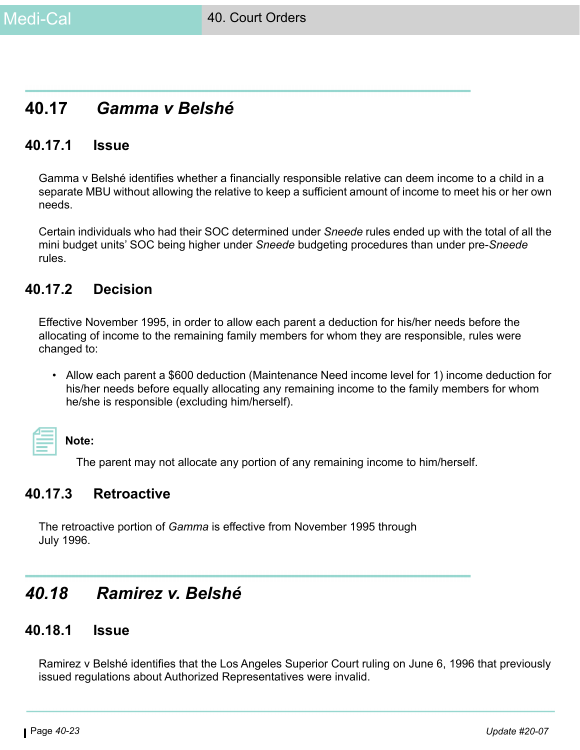# **40.17** *Gamma v Belshé*

### **40.17.1 Issue**

Gamma v Belshé identifies whether a financially responsible relative can deem income to a child in a separate MBU without allowing the relative to keep a sufficient amount of income to meet his or her own needs.

Certain individuals who had their SOC determined under *Sneede* rules ended up with the total of all the mini budget units' SOC being higher under *Sneede* budgeting procedures than under pre-*Sneede* rules.

### **40.17.2 Decision**

Effective November 1995, in order to allow each parent a deduction for his/her needs before the allocating of income to the remaining family members for whom they are responsible, rules were changed to:

• Allow each parent a \$600 deduction (Maintenance Need income level for 1) income deduction for his/her needs before equally allocating any remaining income to the family members for whom he/she is responsible (excluding him/herself).

**Note:** 

The parent may not allocate any portion of any remaining income to him/herself.

# **40.17.3 Retroactive**

The retroactive portion of *Gamma* is effective from November 1995 through July 1996.

# *40.18 Ramirez v. Belshé*

# **40.18.1 Issue**

Ramirez v Belshé identifies that the Los Angeles Superior Court ruling on June 6, 1996 that previously issued regulations about Authorized Representatives were invalid.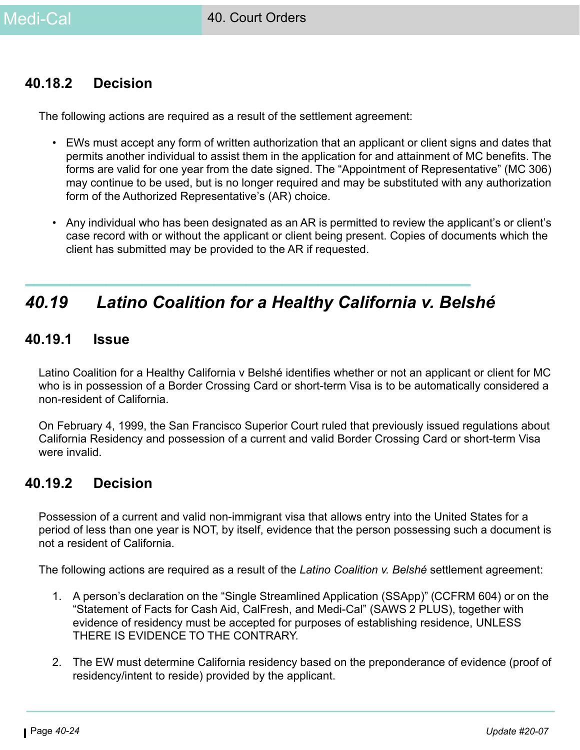# **40.18.2 Decision**

The following actions are required as a result of the settlement agreement:

- EWs must accept any form of written authorization that an applicant or client signs and dates that permits another individual to assist them in the application for and attainment of MC benefits. The forms are valid for one year from the date signed. The "Appointment of Representative" (MC 306) may continue to be used, but is no longer required and may be substituted with any authorization form of the Authorized Representative's (AR) choice.
- Any individual who has been designated as an AR is permitted to review the applicant's or client's case record with or without the applicant or client being present. Copies of documents which the client has submitted may be provided to the AR if requested.

# *40.19 Latino Coalition for a Healthy California v. Belshé*

### **40.19.1 Issue**

Latino Coalition for a Healthy California v Belshé identifies whether or not an applicant or client for MC who is in possession of a Border Crossing Card or short-term Visa is to be automatically considered a non-resident of California.

On February 4, 1999, the San Francisco Superior Court ruled that previously issued regulations about California Residency and possession of a current and valid Border Crossing Card or short-term Visa were invalid

# **40.19.2 Decision**

Possession of a current and valid non-immigrant visa that allows entry into the United States for a period of less than one year is NOT, by itself, evidence that the person possessing such a document is not a resident of California.

The following actions are required as a result of the *Latino Coalition v. Belshé* settlement agreement:

- 1. A person's declaration on the "Single Streamlined Application (SSApp)" (CCFRM 604) or on the "Statement of Facts for Cash Aid, CalFresh, and Medi-Cal" (SAWS 2 PLUS), together with evidence of residency must be accepted for purposes of establishing residence, UNLESS THERE IS EVIDENCE TO THE CONTRARY.
- 2. The EW must determine California residency based on the preponderance of evidence (proof of residency/intent to reside) provided by the applicant.